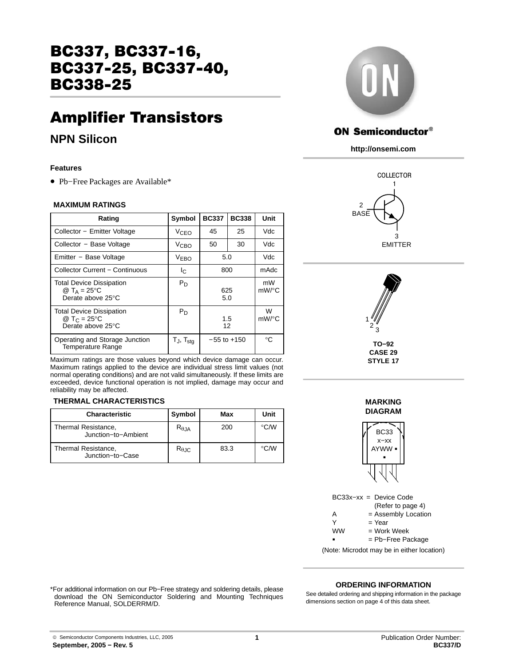# BC337, BC337−16, BC337−25, BC337−40, BC338−25

# Amplifier Transistors

# **NPN Silicon**

### **Features**

• Pb−Free Packages are Available\*

### **MAXIMUM RATINGS**

| Rating                                                                           | Symbol            | <b>BC337</b>    | <b>BC338</b> | Unit                    |
|----------------------------------------------------------------------------------|-------------------|-----------------|--------------|-------------------------|
| Collector - Emitter Voltage                                                      | V <sub>CEO</sub>  | 45<br>25        |              | Vdc                     |
| Collector - Base Voltage                                                         | V <sub>CBO</sub>  | 50              | 30           | Vdc                     |
| Emitter - Base Voltage                                                           | V <sub>EBO</sub>  | 5.0             |              | Vdc                     |
| <b>Collector Current - Continuous</b>                                            | Ιc                | 800             |              | mAdc                    |
| <b>Total Device Dissipation</b><br>@ T <sub>A</sub> = 25°C<br>Derate above 25°C  | $P_D$             | 625<br>5.0      |              | mW<br>mW/°C             |
| <b>Total Device Dissipation</b><br>@ T <sub>C</sub> = 25 °C<br>Derate above 25°C | $P_D$             | 1.5<br>12       |              | W<br>$mW$ / $\degree$ C |
| Operating and Storage Junction<br><b>Temperature Range</b>                       | $T_J$ , $T_{stg}$ | $-55$ to $+150$ |              | °€                      |

Maximum ratings are those values beyond which device damage can occur. Maximum ratings applied to the device are individual stress limit values (not normal operating conditions) and are not valid simultaneously. If these limits are exceeded, device functional operation is not implied, damage may occur and reliability may be affected.

### **THERMAL CHARACTERISTICS**

| <b>Characteristic</b>                      | Symbol          | Max  | Unit                    |
|--------------------------------------------|-----------------|------|-------------------------|
| Thermal Resistance,<br>Junction-to-Ambient | $R_{\theta,JA}$ | 200  | $\mathrm{C}/\mathrm{W}$ |
| Thermal Resistance,<br>Junction-to-Case    | $R_{\theta,IC}$ | 83.3 | $\mathrm{C}/\mathrm{W}$ |



### **ON Semiconductor®**

**http://onsemi.com**





**STYLE 17**

#### **MARKING DIAGRAM**



BC33x−xx = Device Code (Refer to page 4)  $A =$  Assembly Location<br>  $Y = \text{Year}$  $=$  Year  $=$  Work Week **WW** = Pb−Free Package

(Note: Microdot may be in either location)

**ORDERING INFORMATION**

\*For additional information on our Pb−Free strategy and soldering details, please download the ON Semiconductor Soldering and Mounting Techniques Reference Manual, SOLDERRM/D.

See detailed ordering and shipping information in the package dimensions section on page [4 of this data sheet.](#page-3-0)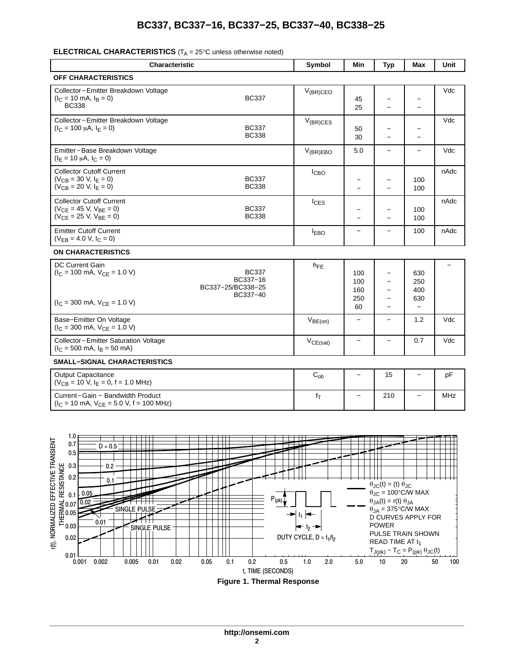## **BC337, BC337−16, BC337−25, BC337−40, BC338−25**

### **ELECTRICAL CHARACTERISTICS** (T<sub>A</sub> = 25°C unless otherwise noted)

| <b>Characteristic</b>                                                                                                          |                                                           | Symbol                     | Min                            | <b>Typ</b>                                                                                        | Max                                           | Unit       |  |
|--------------------------------------------------------------------------------------------------------------------------------|-----------------------------------------------------------|----------------------------|--------------------------------|---------------------------------------------------------------------------------------------------|-----------------------------------------------|------------|--|
| <b>OFF CHARACTERISTICS</b>                                                                                                     |                                                           |                            |                                |                                                                                                   |                                               |            |  |
| Collector-Emitter Breakdown Voltage<br>$(lC = 10$ mA, $lB = 0)$<br><b>BC338</b>                                                | <b>BC337</b>                                              | $V_{(BR)CEO}$              | 45<br>25                       | -<br>$\equiv$                                                                                     | $\overline{\phantom{0}}$<br>$\overline{a}$    | Vdc        |  |
| Collector-Emitter Breakdown Voltage<br>$(I_C = 100 \mu A, I_F = 0)$                                                            | <b>BC337</b><br><b>BC338</b>                              | $V_{(BR)CES}$              | 50<br>30                       | -<br>$\overline{\phantom{0}}$                                                                     |                                               | Vdc        |  |
| Emitter-Base Breakdown Voltage<br>$(I_F = 10 \mu A, I_C = 0)$                                                                  |                                                           | $V_{(BR)EBO}$              | 5.0                            | $\overline{\phantom{0}}$                                                                          |                                               | Vdc        |  |
| <b>Collector Cutoff Current</b><br>$(V_{CB} = 30 V, I_E = 0)$<br>$(V_{CB} = 20 V, I_E = 0)$                                    | <b>BC337</b><br><b>BC338</b>                              | I <sub>CBO</sub>           |                                | $\equiv$                                                                                          | 100<br>100                                    | nAdc       |  |
| <b>Collector Cutoff Current</b><br>$(V_{CE} = 45 V, V_{BE} = 0)$<br>$(V_{CE} = 25 V, V_{BE} = 0)$                              | <b>BC337</b><br><b>BC338</b>                              | $I_{CES}$                  |                                | $\equiv$                                                                                          | 100<br>100                                    | nAdc       |  |
| <b>Emitter Cutoff Current</b><br>$(V_{EB} = 4.0 V, I_C = 0)$                                                                   |                                                           | <b>EBO</b>                 | $\overline{\phantom{0}}$       | $\overline{\phantom{0}}$                                                                          | 100                                           | nAdc       |  |
| <b>ON CHARACTERISTICS</b>                                                                                                      |                                                           |                            |                                |                                                                                                   |                                               |            |  |
| <b>DC Current Gain</b><br>$(I_C = 100 \text{ mA}, V_{CE} = 1.0 \text{ V})$<br>$(I_C = 300 \text{ mA}, V_{CE} = 1.0 \text{ V})$ | <b>BC337</b><br>BC337-16<br>BC337-25/BC338-25<br>BC337-40 | $h_{FE}$                   | 100<br>100<br>160<br>250<br>60 | $\overline{\phantom{0}}$<br>$\overline{\phantom{0}}$<br>$\overline{\phantom{0}}$<br>—<br>$\equiv$ | 630<br>250<br>400<br>630<br>$\qquad \qquad -$ |            |  |
| Base-Emitter On Voltage<br>$(I_C = 300 \text{ mA}, V_{CE} = 1.0 \text{ V})$                                                    |                                                           | $V_{BE(on)}$               |                                | $\overline{\phantom{0}}$                                                                          | 1.2                                           | Vdc        |  |
| Collector-Emitter Saturation Voltage<br>$(I_C = 500 \text{ mA}, I_B = 50 \text{ mA})$                                          |                                                           | $V_{CE(sat)}$              | $\qquad \qquad -$              | $\overline{\phantom{0}}$                                                                          | 0.7                                           | Vdc        |  |
| <b>SMALL-SIGNAL CHARACTERISTICS</b>                                                                                            |                                                           |                            |                                |                                                                                                   |                                               |            |  |
| <b>Output Capacitance</b><br>$(V_{CB} = 10 V, I_F = 0, f = 1.0 MHz)$                                                           |                                                           | $\mathrm{C}_{\mathrm{ob}}$ |                                | 15                                                                                                | $\equiv$                                      | pF         |  |
| Current-Gain - Bandwidth Product<br>$(I_C = 10 \text{ mA}, V_{CE} = 5.0 \text{ V}, f = 100 \text{ MHz})$                       |                                                           | $f_T$                      | $\qquad \qquad -$              | 210                                                                                               |                                               | <b>MHz</b> |  |
|                                                                                                                                |                                                           |                            |                                |                                                                                                   |                                               |            |  |



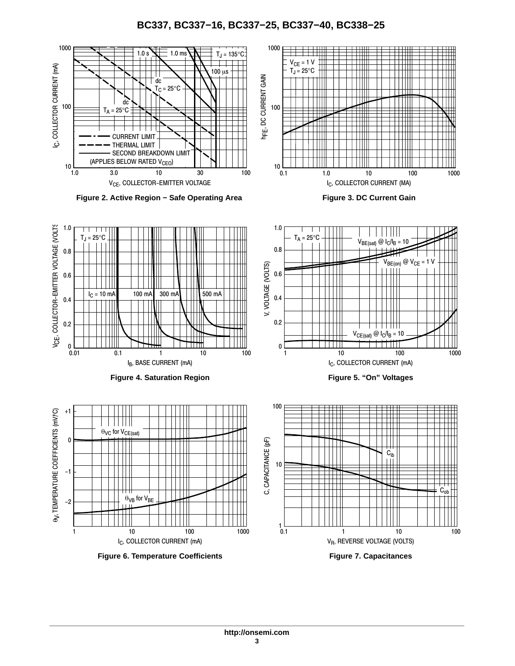### **BC337, BC337−16, BC337−25, BC337−40, BC338−25**

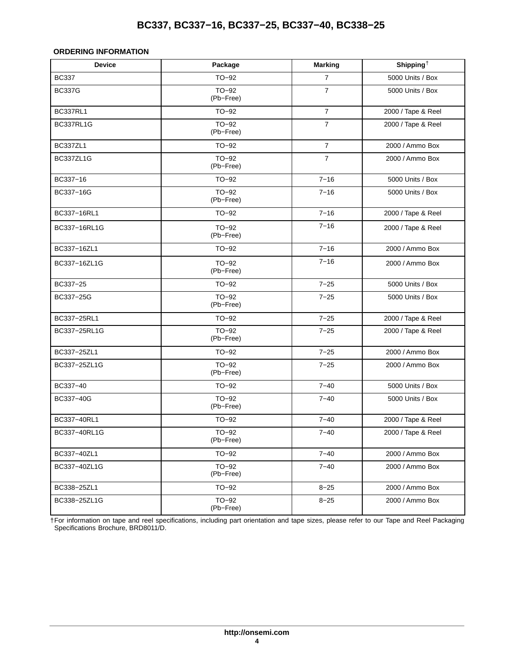## **BC337, BC337−16, BC337−25, BC337−40, BC338−25**

### <span id="page-3-0"></span>**ORDERING INFORMATION**

| <b>Device</b>   | Package              | <b>Marking</b> | Shipping <sup>+</sup> |  |
|-----------------|----------------------|----------------|-----------------------|--|
| <b>BC337</b>    | $TO-92$              | $\overline{7}$ | 5000 Units / Box      |  |
| <b>BC337G</b>   | TO-92<br>(Pb-Free)   | $\overline{7}$ | 5000 Units / Box      |  |
| <b>BC337RL1</b> | $TO-92$              | $\overline{7}$ | 2000 / Tape & Reel    |  |
| BC337RL1G       | $TO-92$<br>(Pb-Free) | $\overline{7}$ | 2000 / Tape & Reel    |  |
| BC337ZL1        | $TO-92$              | $\overline{7}$ | 2000 / Ammo Box       |  |
| BC337ZL1G       | $TO-92$<br>(Pb-Free) | $\overline{7}$ | 2000 / Ammo Box       |  |
| BC337-16        | $TO-92$              | $7 - 16$       | 5000 Units / Box      |  |
| BC337-16G       | $TO-92$<br>(Pb-Free) | $7 - 16$       | 5000 Units / Box      |  |
| BC337-16RL1     | $TO-92$              | $7 - 16$       | 2000 / Tape & Reel    |  |
| BC337-16RL1G    | TO-92<br>(Pb-Free)   | $7 - 16$       | 2000 / Tape & Reel    |  |
| BC337-16ZL1     | $TO-92$              | $7 - 16$       | 2000 / Ammo Box       |  |
| BC337-16ZL1G    | $TO-92$<br>(Pb-Free) | $7 - 16$       | 2000 / Ammo Box       |  |
| BC337-25        | TO-92                | $7 - 25$       | 5000 Units / Box      |  |
| BC337-25G       | $TO-92$<br>(Pb-Free) | $7 - 25$       | 5000 Units / Box      |  |
| BC337-25RL1     | $TO-92$              | $7 - 25$       | 2000 / Tape & Reel    |  |
| BC337-25RL1G    | $TO-92$<br>(Pb-Free) | $7 - 25$       | 2000 / Tape & Reel    |  |
| BC337-25ZL1     | $TO-92$              | $7 - 25$       | 2000 / Ammo Box       |  |
| BC337-25ZL1G    | $TO-92$<br>(Pb-Free) | $7 - 25$       | 2000 / Ammo Box       |  |
| BC337-40        | TO-92                | $7 - 40$       | 5000 Units / Box      |  |
| BC337-40G       | $TO-92$<br>(Pb-Free) | $7 - 40$       | 5000 Units / Box      |  |
| BC337-40RL1     | $TO-92$              | $7 - 40$       | 2000 / Tape & Reel    |  |
| BC337-40RL1G    | $TO-92$<br>(Pb-Free) | $7 - 40$       | 2000 / Tape & Reel    |  |
| BC337-40ZL1     | $TO-92$              | $7 - 40$       | 2000 / Ammo Box       |  |
| BC337-40ZL1G    | TO-92<br>(Pb-Free)   | $7 - 40$       | 2000 / Ammo Box       |  |
| BC338-25ZL1     | $TO-92$              | $8 - 25$       | 2000 / Ammo Box       |  |
| BC338-25ZL1G    | TO-92<br>(Pb-Free)   | $8 - 25$       | 2000 / Ammo Box       |  |

†For information on tape and reel specifications, including part orientation and tape sizes, please refer to our Tape and Reel Packaging Specifications Brochure, BRD8011/D.